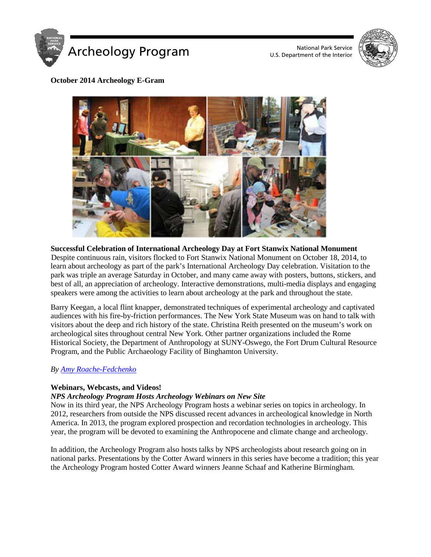

U.S. Department of the Interior



# **October 2014 Archeology E-Gram**



**Successful Celebration of International Archeology Day at Fort Stanwix National Monument** Despite continuous rain, visitors flocked to Fort Stanwix National Monument on October 18, 2014, to learn about archeology as part of the park's International Archeology Day celebration. Visitation to the park was triple an average Saturday in October, and many came away with posters, buttons, stickers, and best of all, an appreciation of archeology. Interactive demonstrations, multi-media displays and engaging speakers were among the activities to learn about archeology at the park and throughout the state.

Barry Keegan, a local flint knapper, demonstrated techniques of experimental archeology and captivated audiences with his fire-by-friction performances. The New York State Museum was on hand to talk with visitors about the deep and rich history of the state. Christina Reith presented on the museum's work on archeological sites throughout central New York. Other partner organizations included the Rome Historical Society, the Department of Anthropology at SUNY-Oswego, the Fort Drum Cultural Resource Program, and the Public Archaeology Facility of Binghamton University.

# *By [Amy Roache-Fedchenko](mailto:amy_fedchenko@nps.gov)*

# **Webinars, Webcasts, and Videos!**

# *NPS Archeology Program Hosts Archeology Webinars on New Site*

Now in its third year, the NPS Archeology Program hosts a webinar series on topics in archeology. In 2012, researchers from outside the NPS discussed recent advances in archeological knowledge in North America. In 2013, the program explored prospection and recordation technologies in archeology. This year, the program will be devoted to examining the Anthropocene and climate change and archeology.

In addition, the Archeology Program also hosts talks by NPS archeologists about research going on in national parks. Presentations by the Cotter Award winners in this series have become a tradition; this year the Archeology Program hosted Cotter Award winners Jeanne Schaaf and Katherine Birmingham.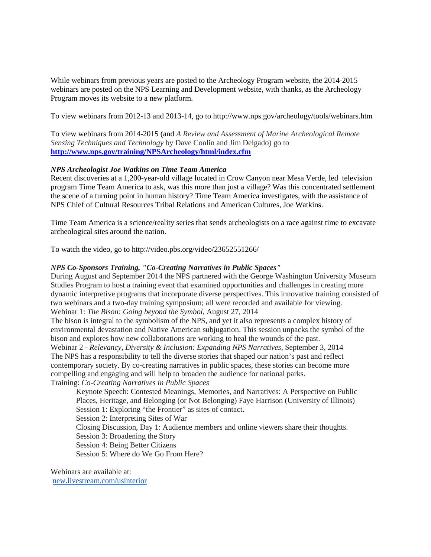While webinars from previous years are posted to the Archeology Program website, the 2014-2015 webinars are posted on the NPS Learning and Development website, with thanks, as the Archeology Program moves its website to a new platform.

To view webinars from 2012-13 and 2013-14, go to http://www.nps.gov/archeology/tools/webinars.htm

To view webinars from 2014-2015 (and *A Review and Assessment of Marine Archeological Remote Sensing Techniques and Technology* by Dave Conlin and Jim Delgado) go to **<http://www.nps.gov/training/NPSArcheology/html/index.cfm>**

### *NPS Archeologist Joe Watkins on Time Team America*

Recent discoveries at a 1,200-year-old village located in Crow Canyon near Mesa Verde, led television program Time Team America to ask, was this more than just a village? Was this concentrated settlement the scene of a turning point in human history? Time Team America investigates, with the assistance of NPS Chief of Cultural Resources Tribal Relations and American Cultures, Joe Watkins.

Time Team America is a science/reality series that sends archeologists on a race against time to excavate archeological sites around the nation.

To watch the video, go to http://video.pbs.org/video/23652551266/

#### *NPS Co-Sponsors Training, "Co-Creating Narratives in Public Spaces"*

During August and September 2014 the NPS partnered with the George Washington University Museum Studies Program to host a training event that examined opportunities and challenges in creating more dynamic interpretive programs that incorporate diverse perspectives. This innovative training consisted of two webinars and a two-day training symposium; all were recorded and available for viewing. Webinar 1: *The Bison: Going beyond the Symbol*, August 27, 2014

The bison is integral to the symbolism of the NPS, and yet it also represents a complex history of environmental devastation and Native American subjugation. This session unpacks the symbol of the bison and explores how new collaborations are working to heal the wounds of the past.

Webinar 2 - *Relevancy, Diversity & Inclusion: Expanding NPS Narratives*, September 3, 2014 The NPS has a responsibility to tell the diverse stories that shaped our nation's past and reflect contemporary society. By co-creating narratives in public spaces, these stories can become more compelling and engaging and will help to broaden the audience for national parks. Training: *Co-Creating Narratives in Public Spaces*

Keynote Speech: Contested Meanings, Memories, and Narratives: A Perspective on Public Places, Heritage, and Belonging (or Not Belonging) Faye Harrison (University of Illinois) Session 1: Exploring "the Frontier" as sites of contact. Session 2: Interpreting Sites of War Closing Discussion, Day 1: Audience members and online viewers share their thoughts. Session 3: Broadening the Story Session 4: Being Better Citizens Session 5: Where do We Go From Here?

Webinars are available at:

[new.livestream.com/usinterior](http://new.livestream.com/usinterior)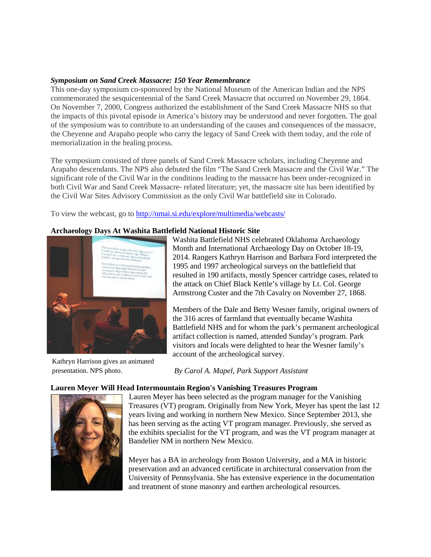### *Symposium on Sand Creek Massacre: 150 Year Remembrance*

This one-day symposium co-sponsored by the National Museum of the American Indian and the NPS commemorated the sesquicentennial of the Sand Creek Massacre that occurred on November 29, 1864. On November 7, 2000, Congress authorized the establishment of the Sand Creek Massacre NHS so that the impacts of this pivotal episode in America's history may be understood and never forgotten. The goal of the symposium was to contribute to an understanding of the causes and consequences of the massacre, the Cheyenne and Arapaho people who carry the legacy of Sand Creek with them today, and the role of memorialization in the healing process.

The symposium consisted of three panels of Sand Creek Massacre scholars, including Cheyenne and Arapaho descendants. The NPS also debuted the film "The Sand Creek Massacre and the Civil War." The significant role of the Civil War in the conditions leading to the massacre has been under-recognized in both Civil War and Sand Creek Massacre- related literature; yet, the massacre site has been identified by the Civil War Sites Advisory Commission as the only Civil War battlefield site in Colorado.

To view the webcast, go to<http://nmai.si.edu/explore/multimedia/webcasts/>

### **Archaeology Days At Washita Battlefield National Historic Site**



Kathryn Harrison gives an animated presentation. NPS photo.

Washita Battlefield NHS celebrated Oklahoma Archaeology Month and International Archaeology Day on October 18-19, 2014. Rangers Kathryn Harrison and Barbara Ford interpreted the 1995 and 1997 archeological surveys on the battlefield that resulted in 190 artifacts, mostly Spencer cartridge cases, related to the attack on Chief Black Kettle's village by Lt. Col. George Armstrong Custer and the 7th Cavalry on November 27, 1868.

Members of the Dale and Betty Wesner family, original owners of the 316 acres of farmland that eventually became Washita Battlefield NHS and for whom the park's permanent archeological artifact collection is named, attended Sunday's program. Park visitors and locals were delighted to hear the Wesner family's account of the archeological survey.

*By Carol A. Mapel, Park Support Assistant*

#### **Lauren Meyer Will Head Intermountain Region's Vanishing Treasures Program**



Lauren Meyer has been selected as the program manager for the Vanishing Treasures (VT) program. Originally from New York, Meyer has spent the last 12 years living and working in northern New Mexico. Since September 2013, she has been serving as the acting VT program manager. Previously, she served as the exhibits specialist for the VT program, and was the VT program manager at Bandelier NM in northern New Mexico.

Meyer has a BA in archeology from Boston University, and a MA in historic preservation and an advanced certificate in architectural conservation from the University of Pennsylvania. She has extensive experience in the documentation and treatment of stone masonry and earthen archeological resources.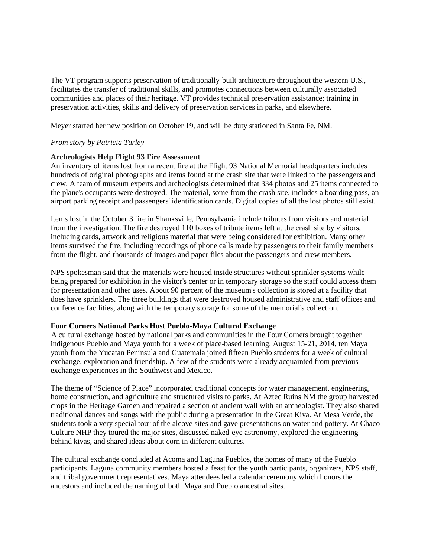The VT program supports preservation of traditionally-built architecture throughout the western U.S., facilitates the transfer of traditional skills, and promotes connections between culturally associated communities and places of their heritage. VT provides technical preservation assistance; training in preservation activities, skills and delivery of preservation services in parks, and elsewhere.

Meyer started her new position on October 19, and will be duty stationed in Santa Fe, NM.

# *From story by Patricia Turley*

### **Archeologists Help Flight 93 Fire Assessment**

An inventory of items lost from a recent fire at the Flight 93 National Memorial headquarters includes hundreds of original photographs and items found at the crash site that were linked to the passengers and crew. A team of museum experts and archeologists determined that 334 photos and 25 items connected to the plane's occupants were destroyed. The material, some from the crash site, includes a boarding pass, an airport parking receipt and passengers' identification cards. Digital copies of all the lost photos still exist.

Items lost in the October 3 fire in Shanksville, Pennsylvania include tributes from visitors and material from the investigation. The fire destroyed 110 boxes of tribute items left at the crash site by visitors, including cards, artwork and religious material that were being considered for exhibition. Many other items survived the fire, including recordings of phone calls made by passengers to their family members from the flight, and thousands of images and paper files about the passengers and crew members.

NPS spokesman said that the materials were housed inside structures without sprinkler systems while being prepared for exhibition in the visitor's center or in temporary storage so the staff could access them for presentation and other uses. About 90 percent of the museum's collection is stored at a facility that does have sprinklers. The three buildings that were destroyed housed administrative and staff offices and conference facilities, along with the temporary storage for some of the memorial's collection.

# **Four Corners National Parks Host Pueblo-Maya Cultural Exchange**

A cultural exchange hosted by national parks and communities in the Four Corners brought together indigenous Pueblo and Maya youth for a week of place-based learning. August 15-21, 2014, ten Maya youth from the Yucatan Peninsula and Guatemala joined fifteen Pueblo students for a week of cultural exchange, exploration and friendship. A few of the students were already acquainted from previous exchange experiences in the Southwest and Mexico.

The theme of "Science of Place" incorporated traditional concepts for water management, engineering, home construction, and agriculture and structured visits to parks. At Aztec Ruins NM the group harvested crops in the Heritage Garden and repaired a section of ancient wall with an archeologist. They also shared traditional dances and songs with the public during a presentation in the Great Kiva. At Mesa Verde, the students took a very special tour of the alcove sites and gave presentations on water and pottery. At Chaco Culture NHP they toured the major sites, discussed naked-eye astronomy, explored the engineering behind kivas, and shared ideas about corn in different cultures.

The cultural exchange concluded at Acoma and Laguna Pueblos, the homes of many of the Pueblo participants. Laguna community members hosted a feast for the youth participants, organizers, NPS staff, and tribal government representatives. Maya attendees led a calendar ceremony which honors the ancestors and included the naming of both Maya and Pueblo ancestral sites.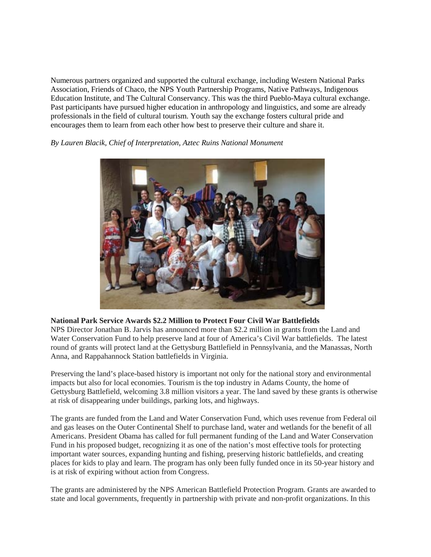Numerous partners organized and supported the cultural exchange, including Western National Parks Association, Friends of Chaco, the NPS Youth Partnership Programs, Native Pathways, Indigenous Education Institute, and The Cultural Conservancy. This was the third Pueblo-Maya cultural exchange. Past participants have pursued higher education in anthropology and linguistics, and some are already professionals in the field of cultural tourism. Youth say the exchange fosters cultural pride and encourages them to learn from each other how best to preserve their culture and share it.



*By Lauren Blacik, Chief of Interpretation, Aztec Ruins National Monument*

# **National Park Service Awards \$2.2 Million to Protect Four Civil War Battlefields**

NPS Director Jonathan B. Jarvis has announced more than \$2.2 million in grants from the Land and Water Conservation Fund to help preserve land at four of America's Civil War battlefields. The latest round of grants will protect land at the Gettysburg Battlefield in Pennsylvania, and the Manassas, North Anna, and Rappahannock Station battlefields in Virginia.

Preserving the land's place-based history is important not only for the national story and environmental impacts but also for local economies. Tourism is the top industry in Adams County, the home of Gettysburg Battlefield, welcoming 3.8 million visitors a year. The land saved by these grants is otherwise at risk of disappearing under buildings, parking lots, and highways.

The grants are funded from the Land and Water Conservation Fund, which uses revenue from Federal oil and gas leases on the Outer Continental Shelf to purchase land, water and wetlands for the benefit of all Americans. President Obama has called for full permanent funding of the Land and Water Conservation Fund in his proposed budget, recognizing it as one of the nation's most effective tools for protecting important water sources, expanding hunting and fishing, preserving historic battlefields, and creating places for kids to play and learn. The program has only been fully funded once in its 50-year history and is at risk of expiring without action from Congress.

The grants are administered by the NPS American Battlefield Protection Program. Grants are awarded to state and local governments, frequently in partnership with private and non-profit organizations. In this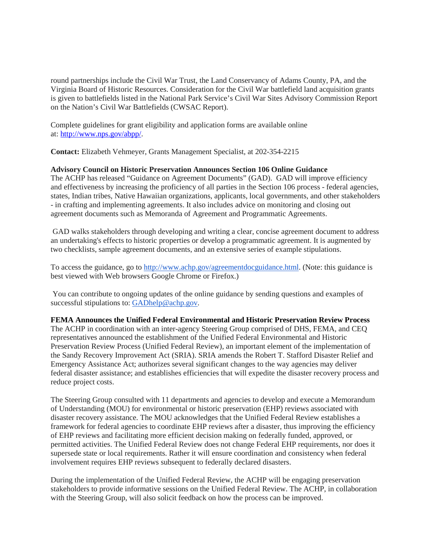round partnerships include the Civil War Trust, the Land Conservancy of Adams County, PA, and the Virginia Board of Historic Resources. Consideration for the Civil War battlefield land acquisition grants is given to battlefields listed in the National Park Service's Civil War Sites Advisory Commission Report on the Nation's Civil War Battlefields (CWSAC Report).

Complete guidelines for grant eligibility and application forms are available online at: [http://www.nps.gov/abpp/.](http://www.nps.gov/abpp/)

**Contact:** Elizabeth Vehmeyer, Grants Management Specialist, at 202-354-2215

### **Advisory Council on Historic Preservation Announces Section 106 Online Guidance**

The ACHP has released "Guidance on Agreement Documents" (GAD). GAD will improve efficiency and effectiveness by increasing the proficiency of all parties in the Section 106 process - federal agencies, states, Indian tribes, Native Hawaiian organizations, applicants, local governments, and other stakeholders - in crafting and implementing agreements. It also includes advice on monitoring and closing out agreement documents such as Memoranda of Agreement and Programmatic Agreements.

GAD walks stakeholders through developing and writing a clear, concise agreement document to address an undertaking's effects to historic properties or develop a programmatic agreement. It is augmented by two checklists, sample agreement documents, and an extensive series of example stipulations.

To access the guidance, go to [http://www.achp.gov/agreementdocguidance.html.](http://www.achp.gov/agreementdocguidance.html) (Note: this guidance is best viewed with Web browsers Google Chrome or Firefox.)

You can contribute to ongoing updates of the online guidance by sending questions and examples of successful stipulations to: [GADhelp@achp.gov.](mailto:GADhelp@achp.gov)

# **FEMA Announces the Unified Federal Environmental and Historic Preservation Review Process**

The ACHP in coordination with an inter-agency Steering Group comprised of DHS, FEMA, and CEQ representatives announced the establishment of the Unified Federal Environmental and Historic Preservation Review Process (Unified Federal Review), an important element of the implementation of the Sandy Recovery Improvement Act (SRIA). SRIA amends the Robert T. Stafford Disaster Relief and Emergency Assistance Act; authorizes several significant changes to the way agencies may deliver federal disaster assistance; and establishes efficiencies that will expedite the disaster recovery process and reduce project costs.

The Steering Group consulted with 11 departments and agencies to develop and execute a Memorandum of Understanding (MOU) for environmental or historic preservation (EHP) reviews associated with disaster recovery assistance. The MOU acknowledges that the Unified Federal Review establishes a framework for federal agencies to coordinate EHP reviews after a disaster, thus improving the efficiency of EHP reviews and facilitating more efficient decision making on federally funded, approved, or permitted activities. The Unified Federal Review does not change Federal EHP requirements, nor does it supersede state or local requirements. Rather it will ensure coordination and consistency when federal involvement requires EHP reviews subsequent to federally declared disasters.

During the implementation of the Unified Federal Review, the ACHP will be engaging preservation stakeholders to provide informative sessions on the Unified Federal Review. The ACHP, in collaboration with the Steering Group, will also solicit feedback on how the process can be improved.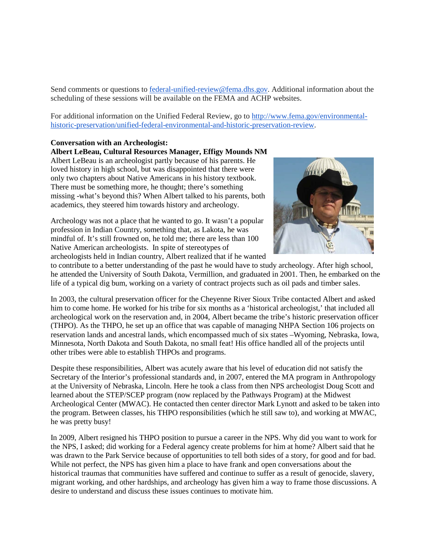Send comments or questions to [federal-unified-review@fema.dhs.gov.](mailto:federal-unified-review@fema.dhs.gov) Additional information about the scheduling of these sessions will be available on the FEMA and ACHP websites.

For additional information on the Unified Federal Review, go to [http://www.fema.gov/environmental](http://www.fema.gov/environmental-historic-preservation/unified-federal-environmental-and-historic-preservation-review)[historic-preservation/unified-federal-environmental-and-historic-preservation-review.](http://www.fema.gov/environmental-historic-preservation/unified-federal-environmental-and-historic-preservation-review)

# **Conversation with an Archeologist:**

### **Albert LeBeau, Cultural Resources Manager, Effigy Mounds NM**

Albert LeBeau is an archeologist partly because of his parents. He loved history in high school, but was disappointed that there were only two chapters about Native Americans in his history textbook. There must be something more, he thought; there's something missing -what's beyond this? When Albert talked to his parents, both academics, they steered him towards history and archeology.

Archeology was not a place that he wanted to go. It wasn't a popular profession in Indian Country, something that, as Lakota, he was mindful of. It's still frowned on, he told me; there are less than 100 Native American archeologists. In spite of stereotypes of archeologists held in Indian country, Albert realized that if he wanted



to contribute to a better understanding of the past he would have to study archeology. After high school, he attended the University of South Dakota, Vermillion, and graduated in 2001. Then, he embarked on the life of a typical dig bum, working on a variety of contract projects such as oil pads and timber sales.

In 2003, the cultural preservation officer for the Cheyenne River Sioux Tribe contacted Albert and asked him to come home. He worked for his tribe for six months as a 'historical archeologist,' that included all archeological work on the reservation and, in 2004, Albert became the tribe's historic preservation officer (THPO). As the THPO, he set up an office that was capable of managing NHPA Section 106 projects on reservation lands and ancestral lands, which encompassed much of six states –Wyoming, Nebraska, Iowa, Minnesota, North Dakota and South Dakota, no small feat! His office handled all of the projects until other tribes were able to establish THPOs and programs.

Despite these responsibilities, Albert was acutely aware that his level of education did not satisfy the Secretary of the Interior's professional standards and, in 2007, entered the MA program in Anthropology at the University of Nebraska, Lincoln. Here he took a class from then NPS archeologist Doug Scott and learned about the STEP/SCEP program (now replaced by the Pathways Program) at the Midwest Archeological Center (MWAC). He contacted then center director Mark Lynott and asked to be taken into the program. Between classes, his THPO responsibilities (which he still saw to), and working at MWAC, he was pretty busy!

In 2009, Albert resigned his THPO position to pursue a career in the NPS. Why did you want to work for the NPS, I asked; did working for a Federal agency create problems for him at home? Albert said that he was drawn to the Park Service because of opportunities to tell both sides of a story, for good and for bad. While not perfect, the NPS has given him a place to have frank and open conversations about the historical traumas that communities have suffered and continue to suffer as a result of genocide, slavery, migrant working, and other hardships, and archeology has given him a way to frame those discussions. A desire to understand and discuss these issues continues to motivate him.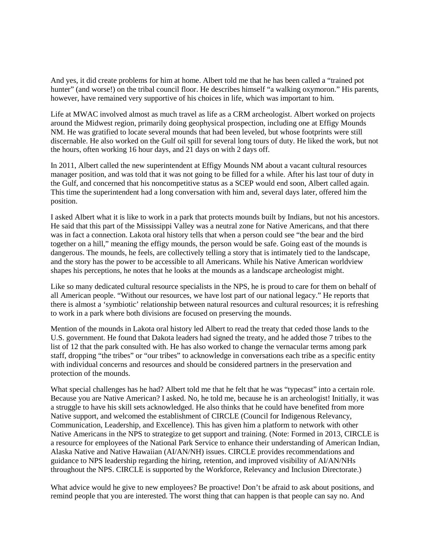And yes, it did create problems for him at home. Albert told me that he has been called a "trained pot hunter" (and worse!) on the tribal council floor. He describes himself "a walking oxymoron." His parents, however, have remained very supportive of his choices in life, which was important to him.

Life at MWAC involved almost as much travel as life as a CRM archeologist. Albert worked on projects around the Midwest region, primarily doing geophysical prospection, including one at Effigy Mounds NM. He was gratified to locate several mounds that had been leveled, but whose footprints were still discernable. He also worked on the Gulf oil spill for several long tours of duty. He liked the work, but not the hours, often working 16 hour days, and 21 days on with 2 days off.

In 2011, Albert called the new superintendent at Effigy Mounds NM about a vacant cultural resources manager position, and was told that it was not going to be filled for a while. After his last tour of duty in the Gulf, and concerned that his noncompetitive status as a SCEP would end soon, Albert called again. This time the superintendent had a long conversation with him and, several days later, offered him the position.

I asked Albert what it is like to work in a park that protects mounds built by Indians, but not his ancestors. He said that this part of the Mississippi Valley was a neutral zone for Native Americans, and that there was in fact a connection. Lakota oral history tells that when a person could see "the bear and the bird together on a hill," meaning the effigy mounds, the person would be safe. Going east of the mounds is dangerous. The mounds, he feels, are collectively telling a story that is intimately tied to the landscape, and the story has the power to be accessible to all Americans. While his Native American worldview shapes his perceptions, he notes that he looks at the mounds as a landscape archeologist might.

Like so many dedicated cultural resource specialists in the NPS, he is proud to care for them on behalf of all American people. "Without our resources, we have lost part of our national legacy." He reports that there is almost a 'symbiotic' relationship between natural resources and cultural resources; it is refreshing to work in a park where both divisions are focused on preserving the mounds.

Mention of the mounds in Lakota oral history led Albert to read the treaty that ceded those lands to the U.S. government. He found that Dakota leaders had signed the treaty, and he added those 7 tribes to the list of 12 that the park consulted with. He has also worked to change the vernacular terms among park staff, dropping "the tribes" or "our tribes" to acknowledge in conversations each tribe as a specific entity with individual concerns and resources and should be considered partners in the preservation and protection of the mounds.

What special challenges has he had? Albert told me that he felt that he was "typecast" into a certain role. Because you are Native American? I asked. No, he told me, because he is an archeologist! Initially, it was a struggle to have his skill sets acknowledged. He also thinks that he could have benefited from more Native support, and welcomed the establishment of CIRCLE (Council for Indigenous Relevancy, Communication, Leadership, and Excellence). This has given him a platform to network with other Native Americans in the NPS to strategize to get support and training. (Note: Formed in 2013, CIRCLE is a resource for employees of the National Park Service to enhance their understanding of American Indian, Alaska Native and Native Hawaiian (AI/AN/NH) issues. CIRCLE provides recommendations and guidance to NPS leadership regarding the hiring, retention, and improved visibility of AI/AN/NHs throughout the NPS. CIRCLE is supported by the Workforce, Relevancy and Inclusion Directorate.)

What advice would he give to new employees? Be proactive! Don't be afraid to ask about positions, and remind people that you are interested. The worst thing that can happen is that people can say no. And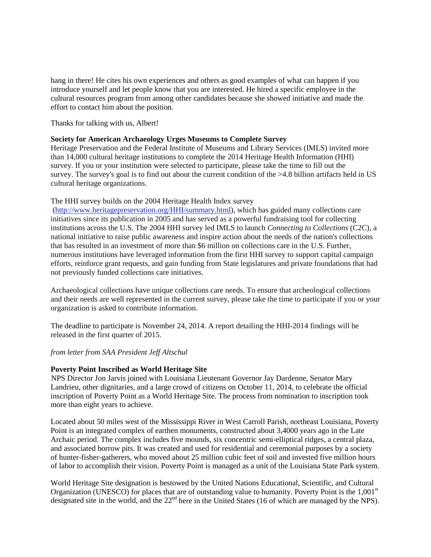hang in there! He cites his own experiences and others as good examples of what can happen if you introduce yourself and let people know that you are interested. He hired a specific employee in the cultural resources program from among other candidates because she showed initiative and made the effort to contact him about the position.

Thanks for talking with us, Albert!

### **Society for American Archaeology Urges Museums to Complete Survey**

Heritage Preservation and the Federal Institute of Museums and Library Services (IMLS) invited more than 14,000 cultural heritage institutions to complete the 2014 Heritage Health Information (HHI) survey. If you or your institution were selected to participate, please take the time to fill out the survey. The survey's goal is to find out about the current condition of the >4.8 billion artifacts held in US cultural heritage organizations.

# The HHI survey builds on the 2004 Heritage Health Index survey

[\(http://www.heritagepreservation.org/HHI/summary.html\)](http://r20.rs6.net/tn.jsp?f=001GWPVzHVwQqE7NIkjUfeNoCtkXxHiDz5lG0an0iCmxP5sgeoaoti-fUMFeVNAxHZxIg6HhJndr0tZrJWJBLOmlqwBICA58Wx4vRVdkjQxLm8oWBz_8fJUDzYTrl8jKHJaMQxs7J_HtvmMF4vu1Z6cfgMsgfVE1npURyssBbeJ2kw6e57eVnwLjavojHuB7Ympub1EstI9BcEXKDxXCqnzMg==&c=j8Qawdm-wNgRAh1Tsog8Ara2KcQk-RNy5zVrkwQQuO6gifTD5RiTcQ==&ch=e--7ZT_dkLiROaj3bKLpMPpDJvd7gvxMeV8uI3a2Vc1qV2PSzHrW3A==), which has guided many collections care initiatives since its publication in 2005 and has served as a powerful fundraising tool for collecting institutions across the U.S. The 2004 HHI survey led IMLS to launch *Connecting to Collections* (C2C), a national initiative to raise public awareness and inspire action about the needs of the nation's collections that has resulted in an investment of more than \$6 million on collections care in the U.S. Further, numerous institutions have leveraged information from the first HHI survey to support capital campaign efforts, reinforce grant requests, and gain funding from State legislatures and private foundations that had not previously funded collections care initiatives.

Archaeological collections have unique collections care needs. To ensure that archeological collections and their needs are well represented in the current survey, please take the time to participate if you or your organization is asked to contribute information.

The deadline to participate is November 24, 2014. A report detailing the HHI-2014 findings will be released in the first quarter of 2015.

*from letter from SAA President Jeff Altschul*

# **Poverty Point Inscribed as World Heritage Site**

NPS Director Jon Jarvis joined with Louisiana Lieutenant Governor Jay Dardenne, Senator Mary Landrieu, other dignitaries, and a large crowd of citizens on October 11, 2014, to celebrate the official inscription of Poverty Point as a World Heritage Site. The process from nomination to inscription took more than eight years to achieve.

Located about 50 miles west of the Mississippi River in West Carroll Parish, northeast Louisiana, Poverty Point is an integrated complex of earthen monuments, constructed about 3,4000 years ago in the Late Archaic period. The complex includes five mounds, six concentric semi-elliptical ridges, a central plaza, and associated borrow pits. It was created and used for residential and ceremonial purposes by a society of hunter-fisher-gatherers, who moved about 25 million cubic feet of soil and invested five million hours of labor to accomplish their vision. Poverty Point is managed as a unit of the Louisiana State Park system.

World Heritage Site designation is bestowed by the United Nations Educational, Scientific, and Cultural Organization (UNESCO) for places that are of outstanding value to humanity. Poverty Point is the  $1,001<sup>st</sup>$ designated site in the world, and the 22<sup>nd</sup> here in the United States (16 of which are managed by the NPS).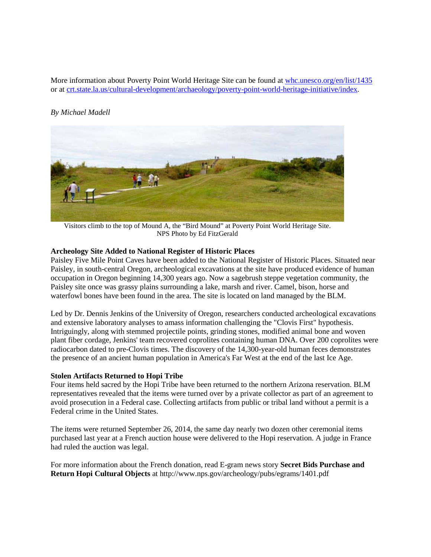More information about Poverty Point World Heritage Site can be found at [whc.unesco.org/en/list/1435](http://www.whc.unesco.org/en/list/1435) or at [crt.state.la.us/cultural-development/archaeology/poverty-point-world-heritage-initiative/index.](http://www.crt.state.la.us/cultural-development/archaeology/poverty-point-world-heritage-initiative/index)

# *By Michael Madell*



Visitors climb to the top of Mound A, the "Bird Mound" at Poverty Point World Heritage Site. NPS Photo by Ed FitzGerald

### **Archeology Site Added to National Register of Historic Places**

Paisley Five Mile Point Caves have been added to the National Register of Historic Places. Situated near Paisley, in south-central Oregon, archeological excavations at the site have produced evidence of human occupation in Oregon beginning 14,300 years ago. Now a sagebrush steppe vegetation community, the Paisley site once was grassy plains surrounding a lake, marsh and river. Camel, bison, horse and waterfowl bones have been found in the area. The site is located on land managed by the BLM.

Led by Dr. Dennis Jenkins of the University of Oregon, researchers conducted archeological excavations and extensive laboratory analyses to amass information challenging the "Clovis First" hypothesis. Intriguingly, along with stemmed projectile points, grinding stones, modified animal bone and woven plant fiber cordage, Jenkins' team recovered coprolites containing human DNA. Over 200 coprolites were radiocarbon dated to pre-Clovis times. The discovery of the 14,300-year-old human feces demonstrates the presence of an ancient human population in America's Far West at the end of the last Ice Age.

#### **Stolen Artifacts Returned to Hopi Tribe**

Four items held sacred by the Hopi Tribe have been returned to the northern Arizona reservation. BLM representatives revealed that the items were turned over by a private collector as part of an agreement to avoid prosecution in a Federal case. Collecting artifacts from public or tribal land without a permit is a Federal crime in the United States.

The items were returned September 26, 2014, the same day nearly two dozen other ceremonial items purchased last year at a French auction house were delivered to the Hopi reservation. A judge in France had ruled the auction was legal.

For more information about the French donation, read E-gram news story **Secret Bids Purchase and Return Hopi Cultural Objects** at http://www.nps.gov/archeology/pubs/egrams/1401.pdf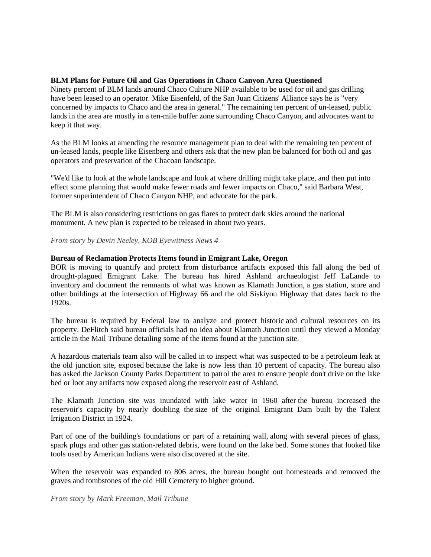# **BLM Plans for Future Oil and Gas Operations in Chaco Canyon Area Questioned**

Ninety percent of BLM lands around Chaco Culture NHP available to be used for oil and gas drilling have been leased to an operator. Mike Eisenfeld, of the San Juan Citizens' Alliance says he is "very concerned by impacts to Chaco and the area in general." The remaining ten percent of un-leased, public lands in the area are mostly in a ten-mile buffer zone surrounding Chaco Canyon, and advocates want to keep it that way.

As the BLM looks at amending the resource management plan to deal with the remaining ten percent of un-leased lands, people like Eisenberg and others ask that the new plan be balanced for both oil and gas operators and preservation of the Chacoan landscape.

"We'd like to look at the whole landscape and look at where drilling might take place, and then put into effect some planning that would make fewer roads and fewer impacts on Chaco," said Barbara West, former superintendent of Chaco Canyon NHP, and advocate for the park.

The BLM is also considering restrictions on gas flares to protect dark skies around the national monument. A new plan is expected to be released in about two years.

*From story by Devin Neeley, KOB Eyewitness News 4*

# **Bureau of Reclamation Protects Items found in Emigrant Lake, Oregon**

BOR is moving to quantify and protect from disturbance artifacts exposed this fall along the bed of drought-plagued Emigrant Lake. The bureau has hired Ashland archaeologist Jeff LaLande to inventory and document the remnants of what was known as Klamath Junction, a gas station, store and other buildings at the intersection of Highway 66 and the old Siskiyou Highway that dates back to the 1920s.

The bureau is required by Federal law to analyze and protect historic and cultural resources on its property. DeFlitch said bureau officials had no idea about Klamath Junction until they viewed a Monday article in the Mail Tribune detailing some of the items found at the junction site.

A hazardous materials team also will be called in to inspect what was suspected to be a petroleum leak at the old junction site, exposed because the lake is now less than 10 percent of capacity. The bureau also has asked the Jackson County Parks Department to patrol the area to ensure people don't drive on the lake bed or loot any artifacts now exposed along the reservoir east of Ashland.

The Klamath Junction site was inundated with lake water in 1960 after the bureau increased the reservoir's capacity by nearly doubling the size of the original Emigrant Dam built by the Talent Irrigation District in 1924.

Part of one of the building's foundations or part of a retaining wall, along with several pieces of glass, spark plugs and other gas station-related debris, were found on the lake bed. Some stones that looked like tools used by American Indians were also discovered at the site.

When the reservoir was expanded to 806 acres, the bureau bought out homesteads and removed the graves and tombstones of the old Hill Cemetery to higher ground.

*From story by Mark Freeman, Mail Tribune*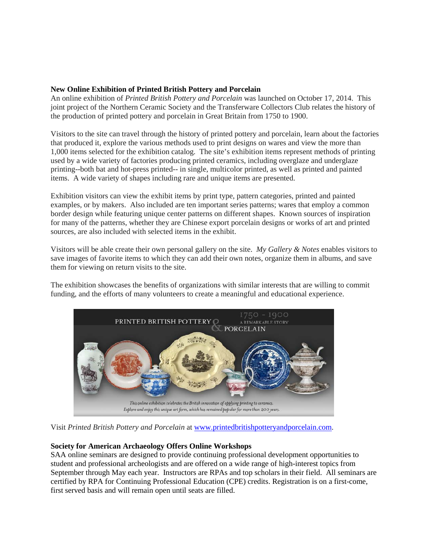# **New Online Exhibition of Printed British Pottery and Porcelain**

An online exhibition of *Printed British Pottery and Porcelain* was launched on October 17, 2014. This joint project of the Northern Ceramic Society and the Transferware Collectors Club relates the history of the production of printed pottery and porcelain in Great Britain from 1750 to 1900.

Visitors to the site can travel through the history of printed pottery and porcelain, learn about the factories that produced it, explore the various methods used to print designs on wares and view the more than 1,000 items selected for the exhibition catalog. The site's exhibition items represent methods of printing used by a wide variety of factories producing printed ceramics, including overglaze and underglaze printing--both bat and hot-press printed-- in single, multicolor printed, as well as printed and painted items. A wide variety of shapes including rare and unique items are presented.

Exhibition visitors can view the exhibit items by print type, pattern categories, printed and painted examples, or by makers. Also included are ten important series patterns; wares that employ a common border design while featuring unique center patterns on different shapes. Known sources of inspiration for many of the patterns, whether they are Chinese export porcelain designs or works of art and printed sources, are also included with selected items in the exhibit.

Visitors will be able create their own personal gallery on the site. *My Gallery & Notes* enables visitors to save images of favorite items to which they can add their own notes, organize them in albums, and save them for viewing on return visits to the site.

The exhibition showcases the benefits of organizations with similar interests that are willing to commit funding, and the efforts of many volunteers to create a meaningful and educational experience.



Visit *Printed British Pottery and Porcelain* at [www.printedbritishpotteryandporcelain.com.](http://www.printedbritishpotteryandporcelain.com/)

# **Society for American Archaeology Offers Online Workshops**

SAA online seminars are designed to provide continuing professional development opportunities to student and professional archeologists and are offered on a wide range of high-interest topics from September through May each year. Instructors are RPAs and top scholars in their field. All seminars are certified by RPA for Continuing Professional Education (CPE) credits. Registration is on a first-come, first served basis and will remain open until seats are filled.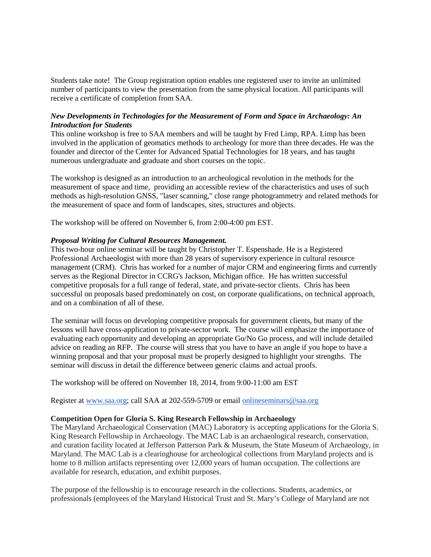Students take note! The Group registration option enables one registered user to invite an unlimited number of participants to view the presentation from the same physical location. All participants will receive a certificate of completion from SAA.

# *New Developments in Technologies for the Measurement of Form and Space in Archaeology: An Introduction for Students*

This online workshop is free to SAA members and will be taught by Fred Limp, RPA. Limp has been involved in the application of geomatics methods to archeology for more than three decades. He was the founder and director of the Center for Advanced Spatial Technologies for 18 years, and has taught numerous undergraduate and graduate and short courses on the topic.

The workshop is designed as an introduction to an archeological revolution in the methods for the measurement of space and time, providing an accessible review of the characteristics and uses of such methods as high-resolution GNSS, "laser scanning," close range photogrammetry and related methods for the measurement of space and form of landscapes, sites, structures and objects.

The workshop will be offered on November 6, from 2:00-4:00 pm EST.

### *Proposal Writing for Cultural Resources Management.*

This two-hour online seminar will be taught by Christopher T. Espenshade. He is a Registered Professional Archaeologist with more than 28 years of supervisory experience in cultural resource management (CRM). Chris has worked for a number of major CRM and engineering firms and currently serves as the Regional Director in CCRG's Jackson, Michigan office. He has written successful competitive proposals for a full range of federal, state, and private-sector clients. Chris has been successful on proposals based predominately on cost, on corporate qualifications, on technical approach, and on a combination of all of these.

The seminar will focus on developing competitive proposals for government clients, but many of the lessons will have cross-application to private-sector work. The course will emphasize the importance of evaluating each opportunity and developing an appropriate Go/No Go process, and will include detailed advice on reading an RFP. The course will stress that you have to have an angle if you hope to have a winning proposal and that your proposal must be properly designed to highlight your strengths. The seminar will discuss in detail the difference between generic claims and actual proofs.

The workshop will be offered on November 18, 2014, from 9:00-11:00 am EST

Register at [www.saa.org;](http://r20.rs6.net/tn.jsp?f=001mJZEcPGV6h8cfJGezJbnkDb9CCZjkFKyZE7JIXauHlH_3ocY7TzGLW17uyYcmD-zRNB_anaSsXuF-a5GyAzlAnTkRtOhVKUCQFvUV0hNd6tdcQ7fYffkMwTouOruIAn4hXSwIaPnJ1527qK1EsYEgqNnx3gMvW8D&c=NJT5A8KJ4h_xCCtY3m8mJS0EsiV2mnl8krlkF934vhR-Y35CQcu-gA==&ch=2sCaaO_yWyxFM5H12vpO4Wr_XCZQzMFROKgPSbBP_BzaQJ023EIfOg==) call SAA at 202-559-5709 or email [onlineseminars@saa.org](mailto:onlineseminars@saa.org)

#### **Competition Open for Gloria S. King Research Fellowship in Archaeology**

The Maryland Archaeological Conservation (MAC) Laboratory is accepting applications for the Gloria S. King Research Fellowship in Archaeology. The MAC Lab is an archaeological research, conservation, and curation facility located at Jefferson Patterson Park & Museum, the State Museum of Archaeology, in Maryland. The MAC Lab is a clearinghouse for archeological collections from Maryland projects and is home to 8 million artifacts representing over 12,000 years of human occupation. The collections are available for research, education, and exhibit purposes.

The purpose of the fellowship is to encourage research in the collections. Students, academics, or professionals (employees of the Maryland Historical Trust and St. Mary's College of Maryland are not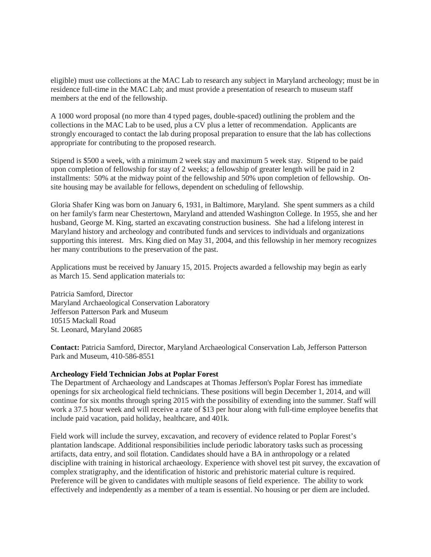eligible) must use collections at the MAC Lab to research any subject in Maryland archeology; must be in residence full-time in the MAC Lab; and must provide a presentation of research to museum staff members at the end of the fellowship.

A 1000 word proposal (no more than 4 typed pages, double-spaced) outlining the problem and the collections in the MAC Lab to be used, plus a CV plus a letter of recommendation. Applicants are strongly encouraged to contact the lab during proposal preparation to ensure that the lab has collections appropriate for contributing to the proposed research.

Stipend is \$500 a week, with a minimum 2 week stay and maximum 5 week stay. Stipend to be paid upon completion of fellowship for stay of 2 weeks; a fellowship of greater length will be paid in 2 installments: 50% at the midway point of the fellowship and 50% upon completion of fellowship. Onsite housing may be available for fellows, dependent on scheduling of fellowship.

Gloria Shafer King was born on January 6, 1931, in Baltimore, Maryland. She spent summers as a child on her family's farm near Chestertown, Maryland and attended Washington College. In 1955, she and her husband, George M. King, started an excavating construction business. She had a lifelong interest in Maryland history and archeology and contributed funds and services to individuals and organizations supporting this interest. Mrs. King died on May 31, 2004, and this fellowship in her memory recognizes her many contributions to the preservation of the past.

Applications must be received by January 15, 2015. Projects awarded a fellowship may begin as early as March 15. Send application materials to:

Patricia Samford, Director Maryland Archaeological Conservation Laboratory Jefferson Patterson Park and Museum 10515 Mackall Road St. Leonard, Maryland 20685

**Contact:** Patricia Samford, Director, Maryland Archaeological Conservation Lab, Jefferson Patterson Park and Museum, 410-586-8551

#### **Archeology Field Technician Jobs at Poplar Forest**

The Department of Archaeology and Landscapes at Thomas Jefferson's Poplar Forest has immediate openings for six archeological field technicians. These positions will begin December 1, 2014, and will continue for six months through spring 2015 with the possibility of extending into the summer. Staff will work a 37.5 hour week and will receive a rate of \$13 per hour along with full-time employee benefits that include paid vacation, paid holiday, healthcare, and 401k.

Field work will include the survey, excavation, and recovery of evidence related to Poplar Forest's plantation landscape. Additional responsibilities include periodic laboratory tasks such as processing artifacts, data entry, and soil flotation. Candidates should have a BA in anthropology or a related discipline with training in historical archaeology. Experience with shovel test pit survey, the excavation of complex stratigraphy, and the identification of historic and prehistoric material culture is required. Preference will be given to candidates with multiple seasons of field experience. The ability to work effectively and independently as a member of a team is essential. No housing or per diem are included.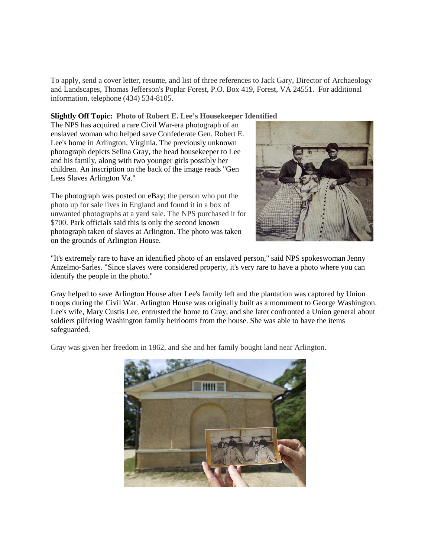To apply, send a cover letter, resume, and list of three references to Jack Gary, Director of Archaeology and Landscapes, Thomas Jefferson's Poplar Forest, P.O. Box 419, Forest, VA 24551. For additional information, telephone (434) 534-8105.

**Slightly Off Topic: Photo of Robert E. Lee's Housekeeper Identified**

The NPS has acquired a rare Civil War-era photograph of an enslaved woman who helped save Confederate Gen. Robert E. Lee's home in Arlington, Virginia. The previously unknown photograph depicts Selina Gray, the head housekeeper to Lee and his family, along with two younger girls possibly her children. An inscription on the back of the image reads "Gen Lees Slaves Arlington Va."

The photograph was posted on eBay; the person who put the photo up for sale lives in England and found it in a box of unwanted photographs at a yard sale. The NPS purchased it for \$700. Park officials said this is only the second known photograph taken of slaves at Arlington. The photo was taken on the grounds of Arlington House.



"It's extremely rare to have an identified photo of an enslaved person," said NPS spokeswoman Jenny Anzelmo-Sarles. "Since slaves were considered property, it's very rare to have a photo where you can identify the people in the photo."

Gray helped to save Arlington House after Lee's family left and the plantation was captured by Union troops during the Civil War. Arlington House was originally built as a monument to George Washington. Lee's wife, Mary Custis Lee, entrusted the home to Gray, and she later confronted a Union general about soldiers pilfering Washington family heirlooms from the house. She was able to have the items safeguarded.

Gray was given her freedom in 1862, and she and her family bought land near Arlington.